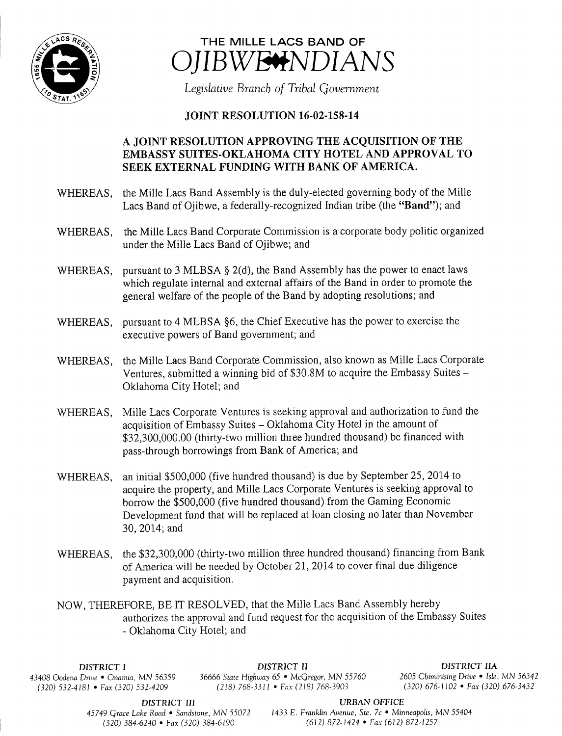



Legislative Branch of Tribal Government

## **JOINT RESOLUTION 16-02-158-14**

## A JOINT RESOLUTION APPROVING THE ACQUISITION OF THE EMBASSY SUITES-OKLAHOMA CITY HOTEL AND APPROVAL TO SEEK EXTERNAL FUNDING WITH BANK OF AMERICA.

- WHEREAS, the Mille Lacs Band Assembly is the duly-elected governing body of the Mille Lacs Band of Ojibwe, a federally-recognized Indian tribe (the "Band"); and
- WHEREAS, the Mille Lacs Band Corporate Commission is <sup>a</sup> corporate body politic organized under the Mille Lacs Band of Ojibwe; and
- WHEREAS, pursuant to 3 MLBSA  $\S$  2(d), the Band Assembly has the power to enact laws which regulate internal and external affairs of the Band in order to promote the general welfare of the people of the Band by adopting resolutions; and
- WHEREAS, pursuant to 4 MLBSA §6, the Chief Executive has the power to exercise the executive powers of Band government; and
- WHEREAS, the Mille Lacs Band Corporate Commission, also known as Mile Lacs Corporate Ventures, submitted a winning bid of \$30.8M to acquire the Embassy Suites – Oklahoma City Hotel; and
- WHEREAS, Mille Lacs Corporate Ventures is seeking approval and authorization to fund the acquisition of Embassy Suites — Oklahoma City Hotel in the amount of \$32,300,000.00 (thirty-two million three hundred thousand) be financed with pass- through borrowings from Bank of America; and
- WHEREAS, an initial \$500,000 (five hundred thousand) is due by September 25, 2014 to acquire the property, and Mille Lacs Corporate Ventures is seeking approval to borrow the \$500,000 (five hundred thousand) from the Gaming Economic Development fund that will be replaced at loan closing no later than November 30, 2014; and
- WHEREAS, the \$32,300,000 (thirty-two million three hundred thousand) financing from Bank of America will be needed by October 21, 2014 to cover final due diligence payment and acquisition.

NOW, THEREFORE, BE IT RESOLVED, that the Mille Lacs Band Assembly hereby authorizes the approval and fund request for the acquisition of the Embassy Suites Oklahoma City Hotel; and

 $(320) 532-4181$  • Fax $(320) 532-4209$ 

DISTRICT I **DISTRICT II** DISTRICT II DISTRICT II<br>43408 Oodena Drive • Onamia, MN 56359 36666 State Highway 65 • McGregor, MN 55760 2605 Chiminising Drive • Isle, MN 56342 436666 State Highway 65 • McGregor, MN 55760 2605 Chiminising Drive • Isle, MN 56347<br>(218) 768-3311 • Fax (218) 768-3903 (320) 676-1102 • Fax (320) 676-3432

DISTRICT III URBAN OFFICE

45749 Grace Lake Road • Sandstone, MN 55072 1433 E. Franklin Avenue, Ste. 7c • Minneapolis, MN 55404 320) 384- 6240 • Fax( 320) 384- 6190 612) 872- 1424 • Fax( 612) 872- 1257